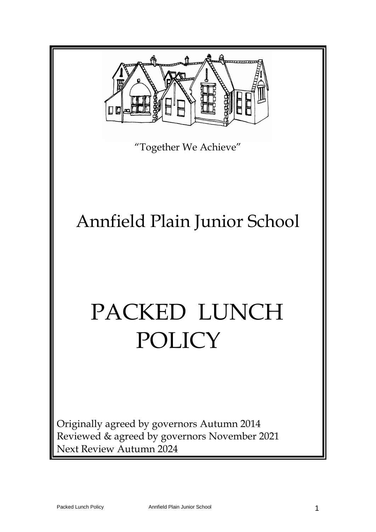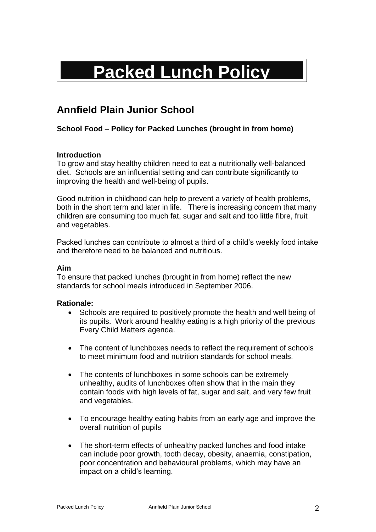# **Packed Lunch Policy**

# **Annfield Plain Junior School**

# **School Food – Policy for Packed Lunches (brought in from home)**

# **Introduction**

To grow and stay healthy children need to eat a nutritionally well-balanced diet. Schools are an influential setting and can contribute significantly to improving the health and well-being of pupils.

Good nutrition in childhood can help to prevent a variety of health problems, both in the short term and later in life. There is increasing concern that many children are consuming too much fat, sugar and salt and too little fibre, fruit and vegetables.

Packed lunches can contribute to almost a third of a child's weekly food intake and therefore need to be balanced and nutritious.

# **Aim**

To ensure that packed lunches (brought in from home) reflect the new standards for school meals introduced in September 2006.

# **Rationale:**

- Schools are required to positively promote the health and well being of its pupils. Work around healthy eating is a high priority of the previous Every Child Matters agenda.
- The content of lunchboxes needs to reflect the requirement of schools to meet minimum food and nutrition standards for school meals.
- The contents of lunchboxes in some schools can be extremely unhealthy, audits of lunchboxes often show that in the main they contain foods with high levels of fat, sugar and salt, and very few fruit and vegetables.
- To encourage healthy eating habits from an early age and improve the overall nutrition of pupils
- The short-term effects of unhealthy packed lunches and food intake can include poor growth, tooth decay, obesity, anaemia, constipation, poor concentration and behavioural problems, which may have an impact on a child's learning.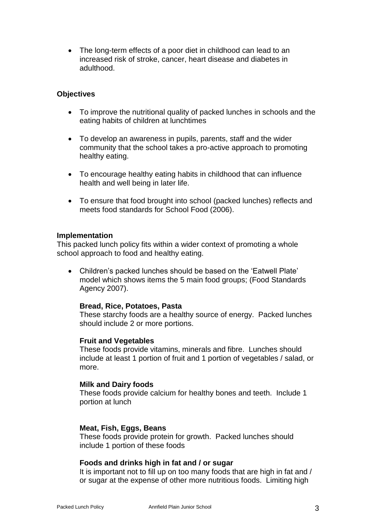• The long-term effects of a poor diet in childhood can lead to an increased risk of stroke, cancer, heart disease and diabetes in adulthood.

# **Objectives**

- To improve the nutritional quality of packed lunches in schools and the eating habits of children at lunchtimes
- To develop an awareness in pupils, parents, staff and the wider community that the school takes a pro-active approach to promoting healthy eating.
- To encourage healthy eating habits in childhood that can influence health and well being in later life.
- To ensure that food brought into school (packed lunches) reflects and meets food standards for School Food (2006).

#### **Implementation**

This packed lunch policy fits within a wider context of promoting a whole school approach to food and healthy eating.

• Children's packed lunches should be based on the 'Eatwell Plate' model which shows items the 5 main food groups; (Food Standards Agency 2007).

# **Bread, Rice, Potatoes, Pasta**

These starchy foods are a healthy source of energy. Packed lunches should include 2 or more portions.

# **Fruit and Vegetables**

These foods provide vitamins, minerals and fibre. Lunches should include at least 1 portion of fruit and 1 portion of vegetables / salad, or more.

#### **Milk and Dairy foods**

These foods provide calcium for healthy bones and teeth. Include 1 portion at lunch

#### **Meat, Fish, Eggs, Beans**

These foods provide protein for growth. Packed lunches should include 1 portion of these foods

# **Foods and drinks high in fat and / or sugar**

It is important not to fill up on too many foods that are high in fat and / or sugar at the expense of other more nutritious foods. Limiting high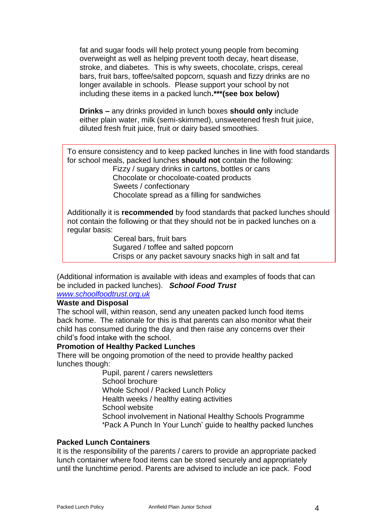fat and sugar foods will help protect young people from becoming overweight as well as helping prevent tooth decay, heart disease, stroke, and diabetes. This is why sweets, chocolate, crisps, cereal bars, fruit bars, toffee/salted popcorn, squash and fizzy drinks are no longer available in schools. Please support your school by not including these items in a packed lunch**.\*\*\*(see box below)**

**Drinks –** any drinks provided in lunch boxes **should only** include either plain water, milk (semi-skimmed), unsweetened fresh fruit juice, diluted fresh fruit juice, fruit or dairy based smoothies.

To ensure consistency and to keep packed lunches in line with food standards for school meals, packed lunches **should not** contain the following:

Fizzy / sugary drinks in cartons, bottles or cans Chocolate or chocoloate-coated products Sweets / confectionary Chocolate spread as a filling for sandwiches

Additionally it is **recommended** by food standards that packed lunches should not contain the following or that they should not be in packed lunches on a regular basis:

 Cereal bars, fruit bars Sugared / toffee and salted popcorn Crisps or any packet savoury snacks high in salt and fat

(Additional information is available with ideas and examples of foods that can be included in packed lunches).*School Food Trust*

*[www.schoolfoodtrust.org.uk](http://www.schoolfoodtrust.org.uk/)*

# **Waste and Disposal**

The school will, within reason, send any uneaten packed lunch food items back home. The rationale for this is that parents can also monitor what their child has consumed during the day and then raise any concerns over their child's food intake with the school.

# **Promotion of Healthy Packed Lunches**

Salten nutsunder der Salten und der Salten und der Salten und der Salten und der Salten und der Salten und der<br>Statistischen der Salten und der Salten und der Salten und der Salten und der Salten und der Salten und der Sa

There will be ongoing promotion of the need to provide healthy packed lunches though:

> Pupil, parent / carers newsletters School brochure Whole School / Packed Lunch Policy Health weeks / healthy eating activities School website School involvement in National Healthy Schools Programme **'**Pack A Punch In Your Lunch' guide to healthy packed lunches

# **Packed Lunch Containers**

It is the responsibility of the parents / carers to provide an appropriate packed lunch container where food items can be stored securely and appropriately until the lunchtime period. Parents are advised to include an ice pack. Food